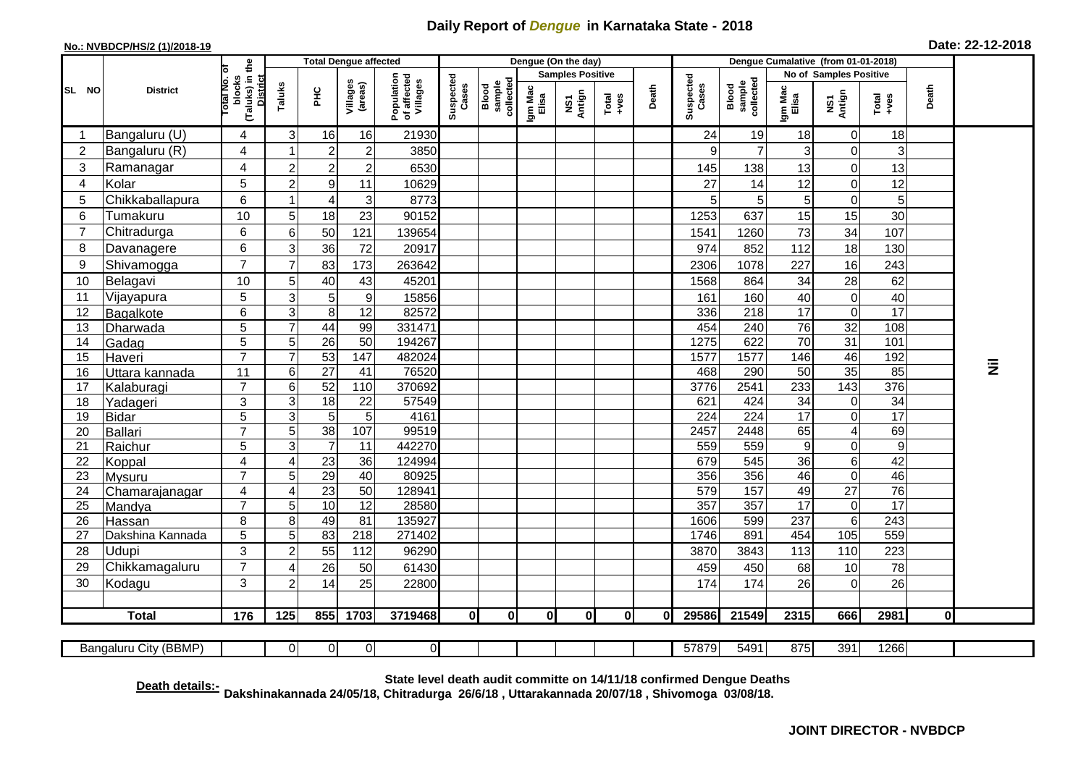## **Daily Report of** *Dengue* **in Karnataka State - 2018**

## **No.: NVBDCP/HS/2 (1)/2018-19 Date: 22-12-2018**

|                | <b>District</b>          |                                                          | <b>Total Dengue affected</b> |                 |                     |                                       |                    |                              |                         | Dengue (On the day) |               |       |                    |                              |                        |                                  |                                                              |           |           |
|----------------|--------------------------|----------------------------------------------------------|------------------------------|-----------------|---------------------|---------------------------------------|--------------------|------------------------------|-------------------------|---------------------|---------------|-------|--------------------|------------------------------|------------------------|----------------------------------|--------------------------------------------------------------|-----------|-----------|
| SL NO          |                          |                                                          |                              |                 |                     |                                       |                    | collected<br>sample<br>Blood | <b>Samples Positive</b> |                     |               |       |                    |                              | No of Samples Positive |                                  |                                                              |           |           |
|                |                          | (Taluks) in the<br>blocks<br>otal No.<br><b>District</b> | Taluks                       | PНC             | Villages<br>(areas) | Population<br>of affected<br>Villages | Suspected<br>Cases |                              | Igm Mac<br>Elisa        | NS1<br>Antign       | Total<br>+ves | Death | Suspected<br>Cases | Blood<br>sample<br>collected | Igm Mac<br>Elisa       | NS1<br>Antign                    | $\begin{array}{c}\n\text{Total} \\ \text{true}\n\end{array}$ | Death     |           |
| -1             | Bangaluru (U)            | 4                                                        | 3                            | 16              | 16                  | 21930                                 |                    |                              |                         |                     |               |       | 24                 | 19                           | 18                     | $\mathbf 0$                      | 18                                                           |           |           |
| $\overline{2}$ | Bangaluru (R)            | $\overline{4}$                                           |                              | $\overline{2}$  | $\overline{c}$      | 3850                                  |                    |                              |                         |                     |               |       | 9                  | $\overline{7}$               | 3                      | $\Omega$                         | 3                                                            |           |           |
| 3              | Ramanagar                | 4                                                        | 2                            | $\overline{2}$  | $\overline{c}$      | 6530                                  |                    |                              |                         |                     |               |       | 145                | 138                          | 13                     | $\overline{0}$                   | 13                                                           |           |           |
| 4              | Kolar                    | 5                                                        | 2                            | 9               | 11                  | 10629                                 |                    |                              |                         |                     |               |       | 27                 | 14                           | 12                     | 0                                | 12                                                           |           |           |
| 5              | Chikkaballapura          | 6                                                        |                              | 4               | $\mathbf{3}$        | 8773                                  |                    |                              |                         |                     |               |       | 5                  | 5                            | 5                      | $\Omega$                         | 5                                                            |           |           |
| 6              | Tumakuru                 | 10                                                       | 5                            | 18              | 23                  | 90152                                 |                    |                              |                         |                     |               |       | 1253               | 637                          | 15                     | 15                               | 30                                                           |           |           |
| $\overline{7}$ | Chitradurga              | 6                                                        | 6                            | 50              | 121                 | 139654                                |                    |                              |                         |                     |               |       | 1541               | 1260                         | 73                     | 34                               | 107                                                          |           |           |
| 8              | Davanagere               | 6                                                        | 3                            | 36              | 72                  | 20917                                 |                    |                              |                         |                     |               |       | 974                | 852                          | 112                    | 18                               | 130                                                          |           |           |
| 9              | Shivamogga               | $\overline{7}$                                           |                              | 83              | 173                 | 263642                                |                    |                              |                         |                     |               |       | 2306               | 1078                         | 227                    | 16                               | 243                                                          |           |           |
| 10             | Belagavi                 | 10                                                       | 5                            | 40              | 43                  | 45201                                 |                    |                              |                         |                     |               |       | 1568               | 864                          | 34                     | 28                               | 62                                                           |           |           |
| 11             | Vijayapura               | $\overline{5}$                                           | 3                            | 5               | $\boldsymbol{9}$    | 15856                                 |                    |                              |                         |                     |               |       | 161                | 160                          | 40                     | $\mathbf 0$                      | 40                                                           |           |           |
| 12             | Bagalkote                | 6                                                        | 3                            | 8               | 12                  | 82572                                 |                    |                              |                         |                     |               |       | 336                | $\overline{218}$             | $\overline{17}$        | 0                                | 17                                                           |           |           |
| 13             | Dharwada                 | 5                                                        |                              | 44              | 99                  | 331471                                |                    |                              |                         |                     |               |       | 454                | 240                          | 76                     | 32                               | 108                                                          |           |           |
| 14             | Gadag                    | $\overline{5}$                                           | 5                            | $\overline{26}$ | 50                  | 194267                                |                    |                              |                         |                     |               |       | 1275               | 622                          | $\overline{70}$        | 31                               | 101                                                          |           |           |
| 15             | Haveri                   | $\overline{7}$                                           | $\overline{7}$               | 53              | 147                 | 482024                                |                    |                              |                         |                     |               |       | 1577               | 1577                         | 146                    | 46                               | 192                                                          |           |           |
| 16             | Uttara kannada           | 11                                                       | 6                            | $\overline{27}$ | 41                  | 76520                                 |                    |                              |                         |                     |               |       | 468                | 290                          | 50                     | $\overline{35}$                  | 85                                                           |           | $\bar{z}$ |
| 17             | Kalaburagi               | $\overline{7}$                                           | 6                            | 52              | 110                 | 370692                                |                    |                              |                         |                     |               |       | 3776               | 2541                         | 233                    | 143                              | 376                                                          |           |           |
| 18             | Yadageri                 | 3                                                        | 3                            | 18              | 22                  | 57549                                 |                    |                              |                         |                     |               |       | 621                | 424                          | 34                     | $\overline{0}$                   | $\overline{34}$                                              |           |           |
| 19             | <b>Bidar</b>             | 5                                                        | 3                            | 5               | 5                   | 4161                                  |                    |                              |                         |                     |               |       | 224                | 224                          | $\overline{17}$        | $\Omega$                         | 17                                                           |           |           |
| 20             | <b>Ballari</b>           | $\overline{7}$                                           | 5                            | 38              | 107                 | 99519                                 |                    |                              |                         |                     |               |       | 2457               | 2448                         | 65                     | 4                                | 69                                                           |           |           |
| 21             | Raichur                  | $\overline{5}$                                           | 3                            | $\overline{7}$  | $\overline{11}$     | 442270                                |                    |                              |                         |                     |               |       | 559                | 559                          | $\boldsymbol{9}$       | $\overline{0}$                   | 9                                                            |           |           |
| 22<br>23       | Koppal                   | $\overline{\mathbf{4}}$<br>$\overline{7}$                | ⊿<br>5                       | 23<br>29        | 36<br>40            | 124994<br>80925                       |                    |                              |                         |                     |               |       | 679<br>356         | 545<br>356                   | 36<br>46               | 6 <sup>1</sup><br>$\overline{0}$ | 42<br>46                                                     |           |           |
| 24             | Mysuru<br>Chamarajanagar | $\overline{\mathbf{4}}$                                  | 4                            | 23              | 50                  | 128941                                |                    |                              |                         |                     |               |       | 579                | 157                          | 49                     | $\overline{27}$                  | 76                                                           |           |           |
| 25             | Mandya                   | $\overline{7}$                                           | 5                            | 10              | $\overline{12}$     | 28580                                 |                    |                              |                         |                     |               |       | 357                | 357                          | 17                     | 0                                | 17                                                           |           |           |
| 26             | Hassan                   | 8                                                        | 8                            | 49              | 81                  | 135927                                |                    |                              |                         |                     |               |       | 1606               | 599                          | 237                    | $6\phantom{1}$                   | 243                                                          |           |           |
| 27             | Dakshina Kannada         | 5                                                        | 5                            | 83              | $\overline{218}$    | 271402                                |                    |                              |                         |                     |               |       | 1746               | 891                          | 454                    | $\frac{105}{105}$                | 559                                                          |           |           |
| 28             | Udupi                    | 3                                                        | $\overline{2}$               | 55              | 112                 | 96290                                 |                    |                              |                         |                     |               |       | 3870               | 3843                         | 113                    | 110                              | 223                                                          |           |           |
| 29             | Chikkamagaluru           | $\overline{7}$                                           |                              | 26              | 50                  | 61430                                 |                    |                              |                         |                     |               |       | 459                | 450                          | 68                     | 10                               | 78                                                           |           |           |
| 30             | Kodagu                   | 3                                                        | $\overline{2}$               | 14              | 25                  | 22800                                 |                    |                              |                         |                     |               |       | 174                | 174                          | 26                     | $\Omega$                         | 26                                                           |           |           |
|                |                          |                                                          |                              |                 |                     |                                       |                    |                              |                         |                     |               |       |                    |                              |                        |                                  |                                                              |           |           |
|                | <b>Total</b>             | 176                                                      | 125                          | 855             | 1703                | 3719468                               | 0                  | 0                            | $\mathbf{0}$            | 0                   | 0             | 0     | 29586              | 21549                        | 2315                   | 666                              | 2981                                                         | $\pmb{0}$ |           |
|                | Bangaluru City (BBMP)    |                                                          | $\Omega$                     | $\overline{0}$  | $\overline{0}$      | $\overline{0}$                        |                    |                              |                         |                     |               |       | 57879              | 5491                         | 875                    | 391                              | 1266                                                         |           |           |

**Death details:- State level death audit committe on 14/11/18 confirmed Dengue Deaths Dakshinakannada 24/05/18, Chitradurga 26/6/18 , Uttarakannada 20/07/18 , Shivomoga 03/08/18.**